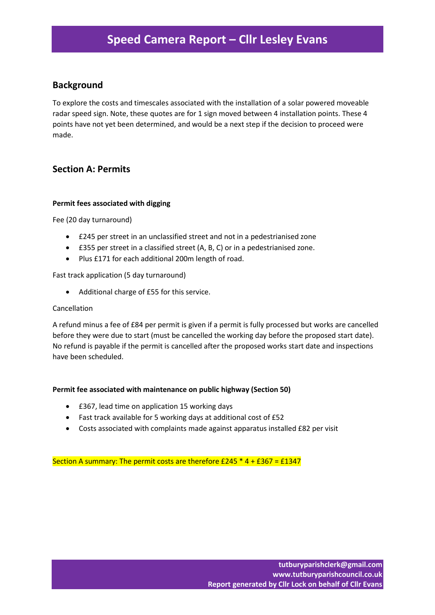# **Speed Camera Report – Cllr Lesley Evans**

## **Background**

To explore the costs and timescales associated with the installation of a solar powered moveable radar speed sign. Note, these quotes are for 1 sign moved between 4 installation points. These 4 points have not yet been determined, and would be a next step if the decision to proceed were made.

## **Section A: Permits**

#### **Permit fees associated with digging**

Fee (20 day turnaround)

- £245 per street in an unclassified street and not in a pedestrianised zone
- £355 per street in a classified street (A, B, C) or in a pedestrianised zone.
- Plus £171 for each additional 200m length of road.

### Fast track application (5 day turnaround)

Additional charge of £55 for this service.

#### Cancellation

A refund minus a fee of £84 per permit is given if a permit is fully processed but works are cancelled before they were due to start (must be cancelled the working day before the proposed start date). No refund is payable if the permit is cancelled after the proposed works start date and inspections have been scheduled.

#### **Permit fee associated with maintenance on public highway (Section 50)**

- £367, lead time on application 15 working days
- Fast track available for 5 working days at additional cost of £52
- Costs associated with complaints made against apparatus installed £82 per visit

Section A summary: The permit costs are therefore  $£245 * 4 + £367 = £1347$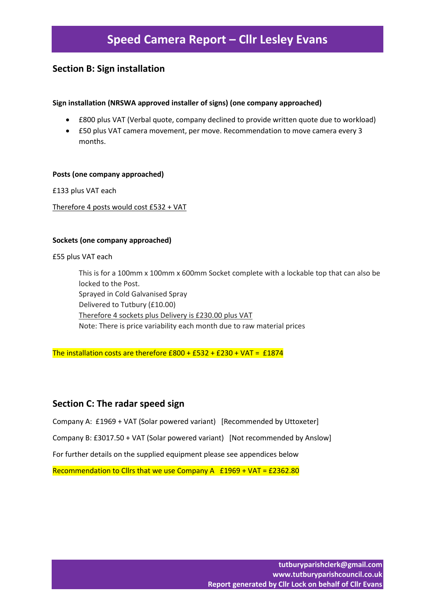## **Section B: Sign installation**

### **Sign installation (NRSWA approved installer of signs) (one company approached)**

- £800 plus VAT (Verbal quote, company declined to provide written quote due to workload)
- £50 plus VAT camera movement, per move. Recommendation to move camera every 3 months.

#### **Posts (one company approached)**

£133 plus VAT each

Therefore 4 posts would cost £532 + VAT

#### **Sockets (one company approached)**

£55 plus VAT each

This is for a 100mm x 100mm x 600mm Socket complete with a lockable top that can also be locked to the Post. Sprayed in Cold Galvanised Spray Delivered to Tutbury (£10.00) Therefore 4 sockets plus Delivery is £230.00 plus VAT Note: There is price variability each month due to raw material prices

The installation costs are therefore  $£800 + £532 + £230 + VAT = £1874$ 

## **Section C: The radar speed sign**

Company A: £1969 + VAT (Solar powered variant) [Recommended by Uttoxeter]

Company B: £3017.50 + VAT (Solar powered variant) [Not recommended by Anslow]

For further details on the supplied equipment please see appendices below

Recommendation to Cllrs that we use Company A  $£1969 + VAT = £2362.80$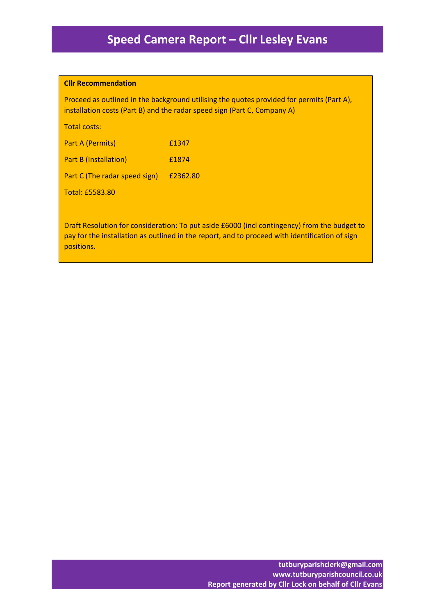#### **Cllr Recommendation**

Proceed as outlined in the background utilising the quotes provided for permits (Part A), installation costs (Part B) and the radar speed sign (Part C, Company A)

Total costs:

| <b>Part A (Permits)</b>       | £1347    |
|-------------------------------|----------|
| <b>Part B (Installation)</b>  | £1874    |
| Part C (The radar speed sign) | £2362.80 |
| <b>Total: £5583.80</b>        |          |

Draft Resolution for consideration: To put aside £6000 (incl contingency) from the budget to pay for the installation as outlined in the report, and to proceed with identification of sign positions.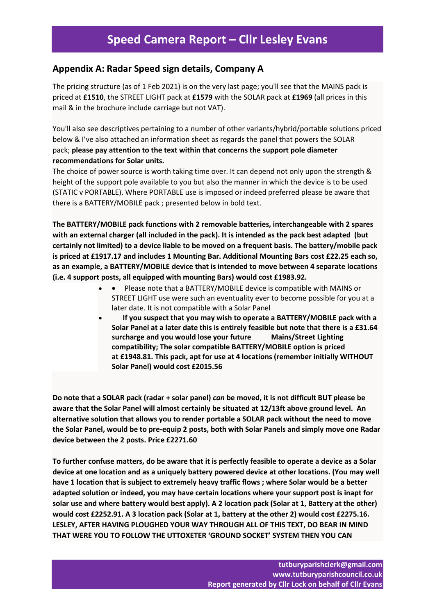## **Appendix A: Radar Speed sign details, Company A**

The pricing structure (as of 1 Feb 2021) is on the very last page; you'll see that the MAINS pack is priced at **£1510**, the STREET LIGHT pack at **£1579** with the SOLAR pack at **£1969** (all prices in this mail & in the brochure include carriage but not VAT).

You'll also see descriptives pertaining to a number of other variants/hybrid/portable solutions priced below & I've also attached an information sheet as regards the panel that powers the SOLAR pack; **please pay attention to the text within that concerns the support pole diameter recommendations for Solar units.**

The choice of power source is worth taking time over. It can depend not only upon the strength & height of the support pole available to you but also the manner in which the device is to be used (STATIC v PORTABLE). Where PORTABLE use is imposed or indeed preferred please be aware that there is a BATTERY/MOBILE pack ; presented below in bold text.

**The BATTERY/MOBILE pack functions with 2 removable batteries, interchangeable with 2 spares with an external charger (all included in the pack). It is intended as the pack best adapted (but certainly not limited) to a device liable to be moved on a frequent basis. The battery/mobile pack is priced at £1917.17 and includes 1 Mounting Bar. Additional Mounting Bars cost £22.25 each so, as an example, a BATTERY/MOBILE device that is intended to move between 4 separate locations (i.e. 4 support posts, all equipped with mounting Bars) would cost £1983.92.**

- Please note that a BATTERY/MOBILE device is compatible with MAINS or STREET LIGHT use were such an eventuality ever to become possible for you at a later date. It is not compatible with a Solar Panel
- **If you suspect that you may wish to operate a BATTERY/MOBILE pack with a Solar Panel at a later date this is entirely feasible but note that there is a £31.64 surcharge and you would lose your future Mains/Street Lighting compatibility; The solar compatible BATTERY/MOBILE option is priced at £1948.81. This pack, apt for use at 4 locations (remember initially WITHOUT Solar Panel) would cost £2015.56**

Do note that a SOLAR pack (radar + solar panel) can be moved, it is not difficult BUT please be **aware that the Solar Panel will almost certainly be situated at 12/13ft above ground level. An alternative solution that allows you to render portable a SOLAR pack without the need to move the Solar Panel, would be to pre-equip 2 posts, both with Solar Panels and simply move one Radar device between the 2 posts. Price £2271.60**

To further confuse matters, do be aware that it is perfectly feasible to operate a device as a Solar **device at one location and as a uniquely battery powered device at other locations. (You may well have 1 location that is subject to extremely heavy traffic flows ; where Solar would be a better adapted solution or indeed, you may have certain locations where your support post is inapt for** solar use and where battery would best apply). A 2 location pack (Solar at 1, Battery at the other) **would cost £2252.91. A 3 location pack (Solar at 1, battery at the other 2) would cost £2275.16. LESLEY, AFTER HAVING PLOUGHED YOUR WAY THROUGH ALL OF THIS TEXT, DO BEAR IN MIND THAT WERE YOU TO FOLLOW THE UTTOXETER 'GROUND SOCKET' SYSTEM THEN YOU CAN**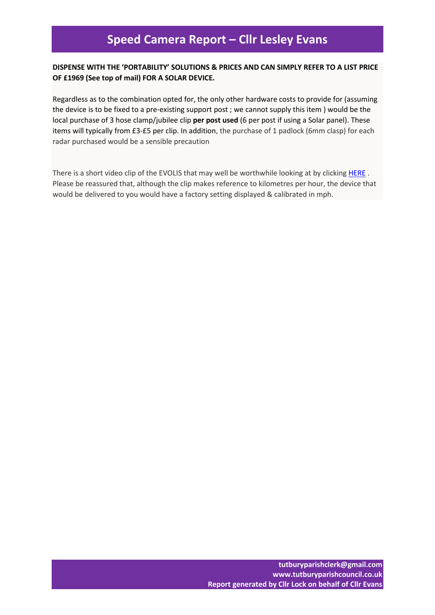## **DISPENSE WITH THE 'PORTABILITY' SOLUTIONS & PRICES AND CAN SIMPLY REFER TO A LIST PRICE OF £1969 (See top of mail) FOR A SOLAR DEVICE.**

Regardless as to the combination opted for, the only other hardware costs to provide for (assuming the device is to be fixed to a pre-existing support post ; we cannot supply this item ) would be the local purchase of 3 hose clamp/jubilee clip **per post used** (6 per post if using a Solar panel). These items will typically from £3-£5 per clip. In addition, the purchase of 1 padlock (6mm clasp) for each radar purchased would be a sensible precaution

There is a short video clip of the EVOLIS that may well be worthwhile looking at by clicking [HERE](https://www.youtube.com/watch?v=UbYkeQapwHU&feature=youtu.be). Please be reassured that, although the clip makes reference to kilometres per hour, the device that would be delivered to you would have a factory setting displayed & calibrated in mph.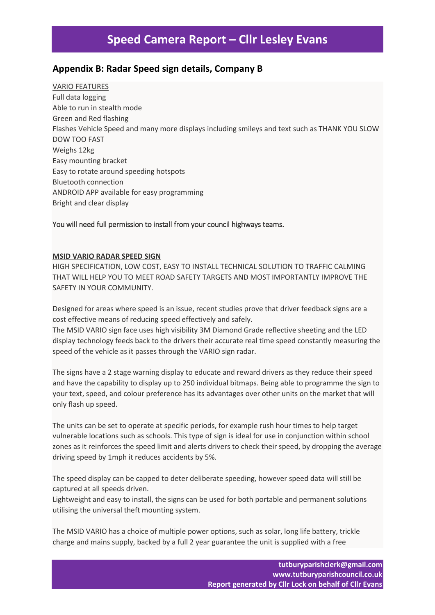# **Speed Camera Report – Cllr Lesley Evans**

## **Appendix B: Radar Speed sign details, Company B**

VARIO FEATURES Full data logging Able to run in stealth mode Green and Red flashing Flashes Vehicle Speed and many more displays including smileys and text such as THANK YOU SLOW DOW TOO FAST Weighs 12kg Easy mounting bracket Easy to rotate around speeding hotspots Bluetooth connection ANDROID APP available for easy programming Bright and clear display

## You will need full permission to install from your council highways teams.

### **MSID VARIO RADAR SPEED SIGN**

HIGH SPECIFICATION, LOW COST, EASY TO INSTALL TECHNICAL SOLUTION TO TRAFFIC CALMING THAT WILL HELP YOU TO MEET ROAD SAFETY TARGETS AND MOST IMPORTANTLY IMPROVE THE SAFFTY IN YOUR COMMUNITY

Designed for areas where speed is an issue, recent studies prove that driver feedback signs are a cost effective means of reducing speed effectively and safely.

The MSID VARIO sign face uses high visibility 3M Diamond Grade reflective sheeting and the LED display technology feeds back to the drivers their accurate real time speed constantly measuring the speed of the vehicle as it passes through the VARIO sign radar.

The signs have a 2 stage warning display to educate and reward drivers as they reduce their speed and have the capability to display up to 250 individual bitmaps. Being able to programme the sign to your text, speed, and colour preference has its advantages over other units on the market that will only flash up speed.

The units can be set to operate at specific periods, for example rush hour times to help target vulnerable locations such as schools. This type of sign is ideal for use in conjunction within school zones as it reinforces the speed limit and alerts drivers to check their speed, by dropping the average driving speed by 1mph it reduces accidents by 5%.

The speed display can be capped to deter deliberate speeding, however speed data will still be captured at all speeds driven.

Lightweight and easy to install, the signs can be used for both portable and permanent solutions utilising the universal theft mounting system.

The MSID VARIO has a choice of multiple power options, such as solar, long life battery, trickle charge and mains supply, backed by a full 2 year guarantee the unit is supplied with a free